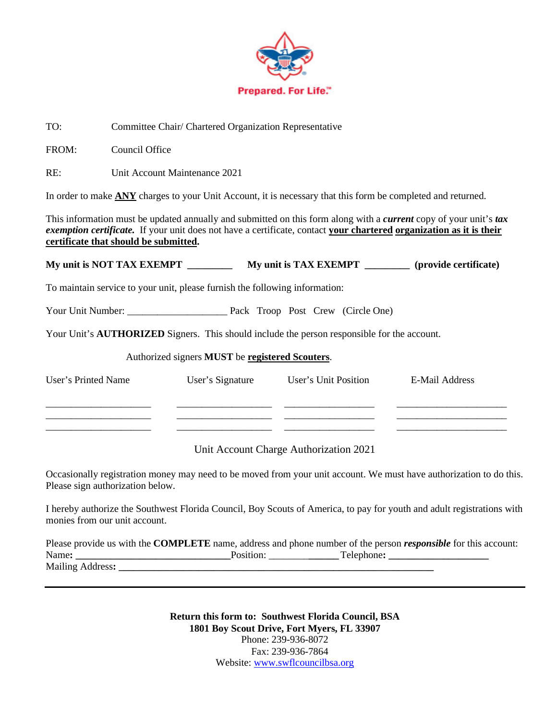

TO: Committee Chair/ Chartered Organization Representative

FROM: Council Office

RE: Unit Account Maintenance 2021

In order to make **ANY** charges to your Unit Account, it is necessary that this form be completed and returned.

This information must be updated annually and submitted on this form along with a *current* copy of your unit's *tax exemption certificate.* If your unit does not have a certificate, contact **your chartered organization as it is their certificate that should be submitted.**

**My unit is NOT TAX EXEMPT \_\_\_\_\_\_\_\_\_ My unit is TAX EXEMPT \_\_\_\_\_\_\_\_\_ (provide certificate)**

To maintain service to your unit, please furnish the following information:

Your Unit Number: \_\_\_\_\_\_\_\_\_\_\_\_\_\_\_\_\_\_\_\_ Pack Troop Post Crew (Circle One)

Your Unit's **AUTHORIZED** Signers. This should include the person responsible for the account.

## Authorized signers **MUST** be **registered Scouters**.

| User's Printed Name | User's Signature | User's Unit Position | E-Mail Address |
|---------------------|------------------|----------------------|----------------|
|                     |                  |                      |                |
|                     |                  |                      |                |
|                     |                  |                      |                |

Unit Account Charge Authorization 2021

Occasionally registration money may need to be moved from your unit account. We must have authorization to do this. Please sign authorization below.

I hereby authorize the Southwest Florida Council, Boy Scouts of America, to pay for youth and adult registrations with monies from our unit account.

Please provide us with the **COMPLETE** name, address and phone number of the person *responsible* for this account: Name: Telephone:  $\blacksquare$ Mailing Address:

> **Return this form to: Southwest Florida Council, BSA 1801 Boy Scout Drive, Fort Myers, FL 33907** Phone: 239-936-8072 Fax: 239-936-7864 Website: [www.swflcouncilbsa.org](http://www.swflcouncilbsa.org/)